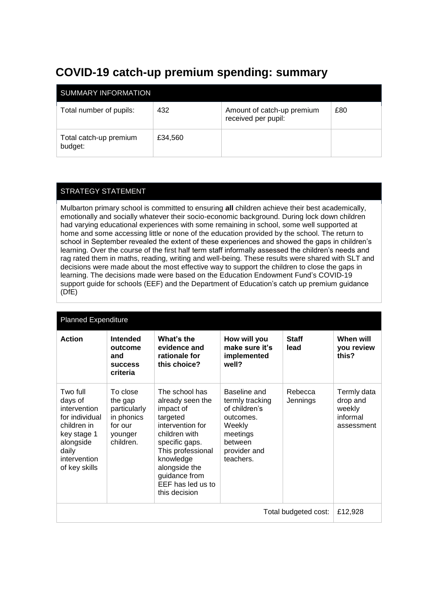## **COVID-19 catch-up premium spending: summary**

| SUMMARY INFORMATION               |         |                                                   |     |  |  |  |
|-----------------------------------|---------|---------------------------------------------------|-----|--|--|--|
| Total number of pupils:           | 432     | Amount of catch-up premium<br>received per pupil: | £80 |  |  |  |
| Total catch-up premium<br>budget: | £34,560 |                                                   |     |  |  |  |

## STRATEGY STATEMENT

Mulbarton primary school is committed to ensuring **all** children achieve their best academically, emotionally and socially whatever their socio-economic background. During lock down children had varying educational experiences with some remaining in school, some well supported at home and some accessing little or none of the education provided by the school. The return to school in September revealed the extent of these experiences and showed the gaps in children's learning. Over the course of the first half term staff informally assessed the children's needs and rag rated them in maths, reading, writing and well-being. These results were shared with SLT and decisions were made about the most effective way to support the children to close the gaps in learning. The decisions made were based on the Education Endowment Fund's COVID-19 support guide for schools (EEF) and the Department of Education's catch up premium guidance (DfE)

| <b>Planned Expenditure</b>                                                                                                                 |                                                                                      |                                                                                                                                                                                                                              |                                                                                                                             |                      |                                                             |  |
|--------------------------------------------------------------------------------------------------------------------------------------------|--------------------------------------------------------------------------------------|------------------------------------------------------------------------------------------------------------------------------------------------------------------------------------------------------------------------------|-----------------------------------------------------------------------------------------------------------------------------|----------------------|-------------------------------------------------------------|--|
| <b>Action</b>                                                                                                                              | <b>Intended</b><br>outcome<br>and<br><b>SUCCESS</b><br>criteria                      | What's the<br>evidence and<br>rationale for<br>this choice?                                                                                                                                                                  | How will you<br>make sure it's<br>implemented<br>well?                                                                      | <b>Staff</b><br>lead | When will<br>you review<br>this?                            |  |
| Two full<br>days of<br>intervention<br>for individual<br>children in<br>key stage 1<br>alongside<br>daily<br>intervention<br>of key skills | To close<br>the gap<br>particularly<br>in phonics<br>for our<br>younger<br>children. | The school has<br>already seen the<br>impact of<br>targeted<br>intervention for<br>children with<br>specific gaps.<br>This professional<br>knowledge<br>alongside the<br>guidance from<br>EEF has led us to<br>this decision | Baseline and<br>termly tracking<br>of children's<br>outcomes.<br>Weekly<br>meetings<br>between<br>provider and<br>teachers. | Rebecca<br>Jennings  | Termly data<br>drop and<br>weekly<br>informal<br>assessment |  |
| Total budgeted cost:                                                                                                                       |                                                                                      |                                                                                                                                                                                                                              |                                                                                                                             |                      | £12,928                                                     |  |